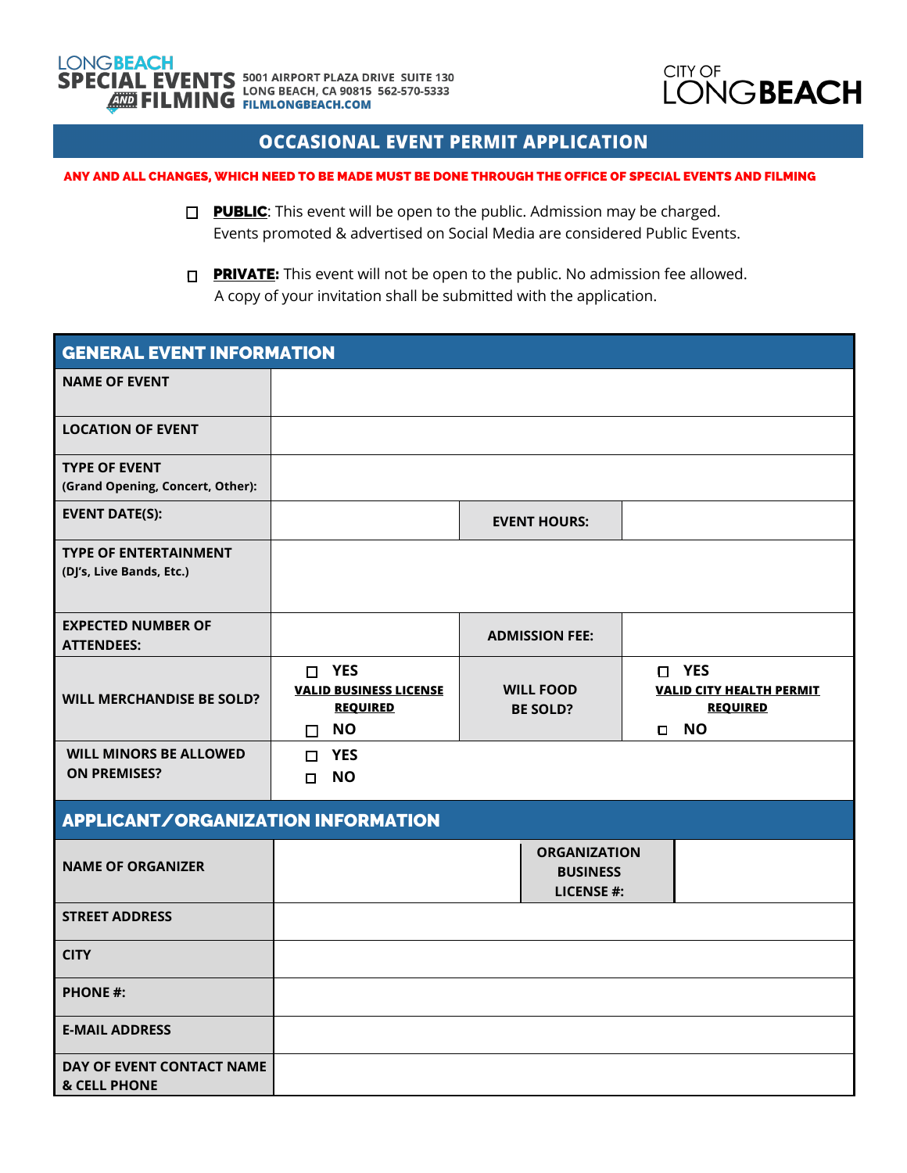

## **OCCASIONAL EVENT PERMIT APPLICATION**

## ANY AND ALL CHANGES, WHICH NEED TO BE MADE MUST BE DONE THROUGH THE OFFICE OF SPECIAL EVENTS AND FILMING

- **PUBLIC:** This event will be open to the public. Admission may be charged. Events promoted & advertised on Social Media are considered Public Events.
- **PRIVATE:** This event will not be open to the public. No admission fee allowed. A copy of your invitation shall be submitted with the application.

| I<br><b>GENERAL EVENT INFORMATION</b>                    |                                                                                  |                                                             |                                                                                    |  |  |
|----------------------------------------------------------|----------------------------------------------------------------------------------|-------------------------------------------------------------|------------------------------------------------------------------------------------|--|--|
| <b>NAME OF EVENT</b>                                     |                                                                                  |                                                             |                                                                                    |  |  |
| <b>LOCATION OF EVENT</b>                                 |                                                                                  |                                                             |                                                                                    |  |  |
| <b>TYPE OF EVENT</b><br>(Grand Opening, Concert, Other): |                                                                                  |                                                             |                                                                                    |  |  |
| <b>EVENT DATE(S):</b>                                    |                                                                                  | <b>EVENT HOURS:</b>                                         |                                                                                    |  |  |
| <b>TYPE OF ENTERTAINMENT</b><br>(DJ's, Live Bands, Etc.) |                                                                                  |                                                             |                                                                                    |  |  |
| <b>EXPECTED NUMBER OF</b><br><b>ATTENDEES:</b>           |                                                                                  | <b>ADMISSION FEE:</b>                                       |                                                                                    |  |  |
| <b>WILL MERCHANDISE BE SOLD?</b>                         | $\Box$ YES<br><b>VALID BUSINESS LICENSE</b><br><b>REQUIRED</b><br><b>NO</b><br>П | <b>WILL FOOD</b><br><b>BE SOLD?</b>                         | □ YES<br><b>VALID CITY HEALTH PERMIT</b><br><b>REQUIRED</b><br><b>NO</b><br>$\Box$ |  |  |
| <b>WILL MINORS BE ALLOWED</b><br><b>ON PREMISES?</b>     | <b>YES</b><br>$\Box$<br><b>NO</b><br>$\Box$                                      |                                                             |                                                                                    |  |  |
| <b>APPLICANT/ORGANIZATION INFORMATION</b>                |                                                                                  |                                                             |                                                                                    |  |  |
| <b>NAME OF ORGANIZER</b>                                 |                                                                                  | <b>ORGANIZATION</b><br><b>BUSINESS</b><br><b>LICENSE #:</b> |                                                                                    |  |  |
| <b>STREET ADDRESS</b>                                    |                                                                                  |                                                             |                                                                                    |  |  |
| <b>CITY</b>                                              |                                                                                  |                                                             |                                                                                    |  |  |
| <b>PHONE #:</b>                                          |                                                                                  |                                                             |                                                                                    |  |  |
| <b>E-MAIL ADDRESS</b>                                    |                                                                                  |                                                             |                                                                                    |  |  |
| DAY OF EVENT CONTACT NAME<br><b>&amp; CELL PHONE</b>     |                                                                                  |                                                             |                                                                                    |  |  |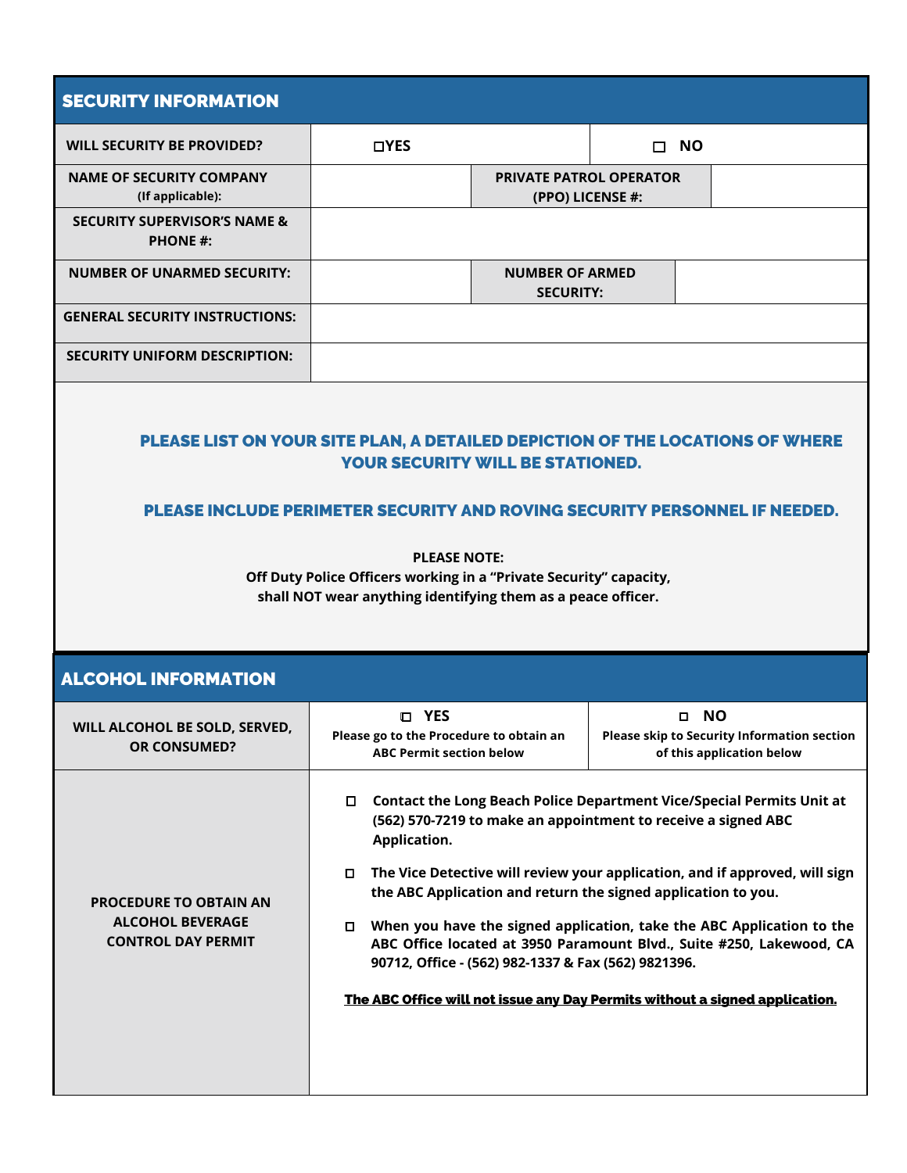| <b>SECURITY INFORMATION</b>                                                                                                                                                                                                                                                                                                                                         |                                                                                                                                                                                                                                                                                                                                                                                                                                                                                                                                                                                                      |                                                    |                     |                                                                          |  |
|---------------------------------------------------------------------------------------------------------------------------------------------------------------------------------------------------------------------------------------------------------------------------------------------------------------------------------------------------------------------|------------------------------------------------------------------------------------------------------------------------------------------------------------------------------------------------------------------------------------------------------------------------------------------------------------------------------------------------------------------------------------------------------------------------------------------------------------------------------------------------------------------------------------------------------------------------------------------------------|----------------------------------------------------|---------------------|--------------------------------------------------------------------------|--|
| <b>WILL SECURITY BE PROVIDED?</b>                                                                                                                                                                                                                                                                                                                                   | <b>DYES</b>                                                                                                                                                                                                                                                                                                                                                                                                                                                                                                                                                                                          |                                                    | <b>NO</b><br>$\Box$ |                                                                          |  |
| <b>NAME OF SECURITY COMPANY</b><br>(If applicable):                                                                                                                                                                                                                                                                                                                 |                                                                                                                                                                                                                                                                                                                                                                                                                                                                                                                                                                                                      | <b>PRIVATE PATROL OPERATOR</b><br>(PPO) LICENSE #: |                     |                                                                          |  |
| <b>SECURITY SUPERVISOR'S NAME &amp;</b><br><b>PHONE #:</b>                                                                                                                                                                                                                                                                                                          |                                                                                                                                                                                                                                                                                                                                                                                                                                                                                                                                                                                                      |                                                    |                     |                                                                          |  |
| <b>NUMBER OF UNARMED SECURITY:</b>                                                                                                                                                                                                                                                                                                                                  | <b>NUMBER OF ARMED</b><br><b>SECURITY:</b>                                                                                                                                                                                                                                                                                                                                                                                                                                                                                                                                                           |                                                    |                     |                                                                          |  |
| <b>GENERAL SECURITY INSTRUCTIONS:</b>                                                                                                                                                                                                                                                                                                                               |                                                                                                                                                                                                                                                                                                                                                                                                                                                                                                                                                                                                      |                                                    |                     |                                                                          |  |
| <b>SECURITY UNIFORM DESCRIPTION:</b>                                                                                                                                                                                                                                                                                                                                |                                                                                                                                                                                                                                                                                                                                                                                                                                                                                                                                                                                                      |                                                    |                     |                                                                          |  |
| PLEASE LIST ON YOUR SITE PLAN, A DETAILED DEPICTION OF THE LOCATIONS OF WHERE<br><b>YOUR SECURITY WILL BE STATIONED.</b><br>PLEASE INCLUDE PERIMETER SECURITY AND ROVING SECURITY PERSONNEL IF NEEDED.<br><b>PLEASE NOTE:</b><br>Off Duty Police Officers working in a "Private Security" capacity,<br>shall NOT wear anything identifying them as a peace officer. |                                                                                                                                                                                                                                                                                                                                                                                                                                                                                                                                                                                                      |                                                    |                     |                                                                          |  |
| <b>ALCOHOL INFORMATION</b>                                                                                                                                                                                                                                                                                                                                          |                                                                                                                                                                                                                                                                                                                                                                                                                                                                                                                                                                                                      |                                                    |                     |                                                                          |  |
| WILL ALCOHOL BE SOLD, SERVED,<br><b>OR CONSUMED?</b>                                                                                                                                                                                                                                                                                                                | <b>D</b> YES<br>Please go to the Procedure to obtain an<br><b>ABC Permit section below</b>                                                                                                                                                                                                                                                                                                                                                                                                                                                                                                           |                                                    | O NO                | Please skip to Security Information section<br>of this application below |  |
| <b>PROCEDURE TO OBTAIN AN</b><br><b>ALCOHOL BEVERAGE</b><br><b>CONTROL DAY PERMIT</b>                                                                                                                                                                                                                                                                               | □ Contact the Long Beach Police Department Vice/Special Permits Unit at<br>(562) 570-7219 to make an appointment to receive a signed ABC<br>Application.<br>The Vice Detective will review your application, and if approved, will sign<br>the ABC Application and return the signed application to you.<br>When you have the signed application, take the ABC Application to the<br>0<br>ABC Office located at 3950 Paramount Blvd., Suite #250, Lakewood, CA<br>90712, Office - (562) 982-1337 & Fax (562) 9821396.<br>The ABC Office will not issue any Day Permits without a signed application. |                                                    |                     |                                                                          |  |